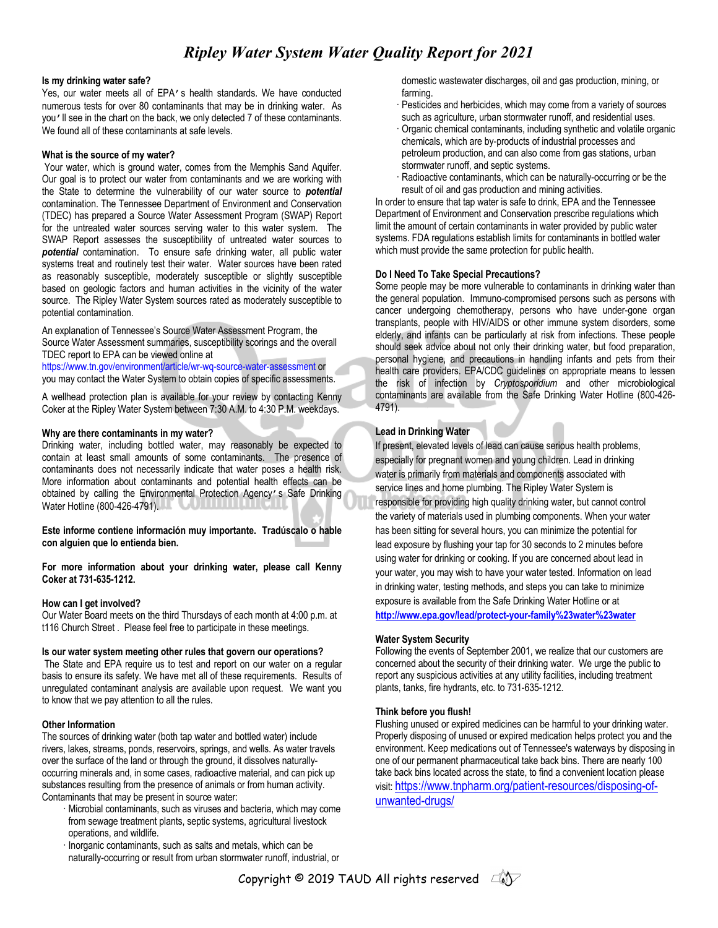# *Ripley Water System Water Quality Report for 2021*

#### **Is my drinking water safe?**

Yes, our water meets all of EPA's health standards. We have conducted numerous tests for over 80 contaminants that may be in drinking water. As you'll see in the chart on the back, we only detected 7 of these contaminants. We found all of these contaminants at safe levels.

#### **What is the source of my water?**

Your water, which is ground water, comes from the Memphis Sand Aquifer. Our goal is to protect our water from contaminants and we are working with the State to determine the vulnerability of our water source to *potential*  contamination. The Tennessee Department of Environment and Conservation (TDEC) has prepared a Source Water Assessment Program (SWAP) Report for the untreated water sources serving water to this water system. The SWAP Report assesses the susceptibility of untreated water sources to *potential* contamination. To ensure safe drinking water, all public water systems treat and routinely test their water. Water sources have been rated as reasonably susceptible, moderately susceptible or slightly susceptible based on geologic factors and human activities in the vicinity of the water source. The Ripley Water System sources rated as moderately susceptible to potential contamination.

An explanation of Tennessee's Source Water Assessment Program, the Source Water Assessment summaries, susceptibility scorings and the overall TDEC report to EPA can be viewed online at

https://www.tn.gov/environment/article/wr-wq-source-water-assessment or you may contact the Water System to obtain copies of specific assessments.

A wellhead protection plan is available for your review by contacting Kenny Coker at the Ripley Water System between 7:30 A.M. to 4:30 P.M. weekdays.

#### **Why are there contaminants in my water?**

Drinking water, including bottled water, may reasonably be expected to contain at least small amounts of some contaminants. The presence of contaminants does not necessarily indicate that water poses a health risk. More information about contaminants and potential health effects can be obtained by calling the Environmental Protection Agency's Safe Drinking Water Hotline (800-426-4791).

**Este informe contiene información muy importante. Tradúscalo o hable con alguien que lo entienda bien.**

**For more information about your drinking water, please call Kenny Coker at 731-635-1212.**

#### **How can I get involved?**

Our Water Board meets on the third Thursdays of each month at 4:00 p.m. at t116 Church Street . Please feel free to participate in these meetings.

#### **Is our water system meeting other rules that govern our operations?**

The State and EPA require us to test and report on our water on a regular basis to ensure its safety. We have met all of these requirements. Results of unregulated contaminant analysis are available upon request. We want you to know that we pay attention to all the rules.

#### **Other Information**

The sources of drinking water (both tap water and bottled water) include rivers, lakes, streams, ponds, reservoirs, springs, and wells. As water travels over the surface of the land or through the ground, it dissolves naturallyoccurring minerals and, in some cases, radioactive material, and can pick up substances resulting from the presence of animals or from human activity. Contaminants that may be present in source water:

- · Microbial contaminants, such as viruses and bacteria, which may come from sewage treatment plants, septic systems, agricultural livestock operations, and wildlife.
- · Inorganic contaminants, such as salts and metals, which can be naturally-occurring or result from urban stormwater runoff, industrial, or

domestic wastewater discharges, oil and gas production, mining, or farming.

- Pesticides and herbicides, which may come from a variety of sources such as agriculture, urban stormwater runoff, and residential uses.
- · Organic chemical contaminants, including synthetic and volatile organic chemicals, which are by-products of industrial processes and petroleum production, and can also come from gas stations, urban stormwater runoff, and septic systems.
- · Radioactive contaminants, which can be naturally-occurring or be the result of oil and gas production and mining activities.

In order to ensure that tap water is safe to drink, EPA and the Tennessee Department of Environment and Conservation prescribe regulations which limit the amount of certain contaminants in water provided by public water systems. FDA regulations establish limits for contaminants in bottled water which must provide the same protection for public health.

#### **Do I Need To Take Special Precautions?**

Some people may be more vulnerable to contaminants in drinking water than the general population. Immuno-compromised persons such as persons with cancer undergoing chemotherapy, persons who have under-gone organ transplants, people with HIV/AIDS or other immune system disorders, some elderly, and infants can be particularly at risk from infections. These people should seek advice about not only their drinking water, but food preparation, personal hygiene, and precautions in handling infants and pets from their health care providers. EPA/CDC guidelines on appropriate means to lessen the risk of infection by *Cryptosporidium* and other microbiological contaminants are available from the Safe Drinking Water Hotline (800-426- 4791).

### **Lead in Drinking Water**

If present, elevated levels of lead can cause serious health problems, especially for pregnant women and young children. Lead in drinking water is primarily from materials and components associated with service lines and home plumbing. The Ripley Water System is responsible for providing high quality drinking water, but cannot control the variety of materials used in plumbing components. When your water has been sitting for several hours, you can minimize the potential for lead exposure by flushing your tap for 30 seconds to 2 minutes before using water for drinking or cooking. If you are concerned about lead in your water, you may wish to have your water tested. Information on lead in drinking water, testing methods, and steps you can take to minimize exposure is available from the Safe Drinking Water Hotline or at

**http://www.epa.gov/lead/protect-your-family%23water%23water**

#### **Water System Security**

Following the events of September 2001, we realize that our customers are concerned about the security of their drinking water. We urge the public to report any suspicious activities at any utility facilities, including treatment plants, tanks, fire hydrants, etc. to 731-635-1212.

#### **Think before you flush!**

Flushing unused or expired medicines can be harmful to your drinking water. Properly disposing of unused or expired medication helps protect you and the environment. Keep medications out of Tennessee's waterways by disposing in one of our permanent pharmaceutical take back bins. There are nearly 100 take back bins located across the state, to find a convenient location please visit: https://www.tnpharm.org/patient-resources/disposing-ofunwanted-drugs/

Copyright © 2019 TAUD All rights reserved  $\Box$